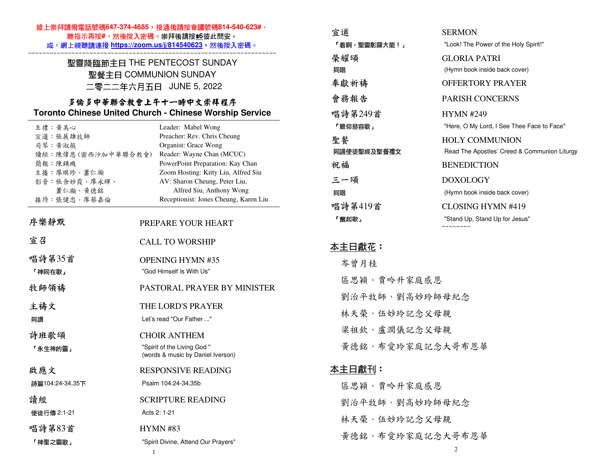### 線上崇拜請撥電話號碼647-374-4685,接通後請按會議號碼814-540-623#, 聽指示再按**#**,然後按入密碼。崇拜後請按\***6**彼此問安。

#### 或,網上視聽請連接 **https://zoom.us/j/814540623**,然後按入密碼。 ~~~~~~~~~~~~~~~~~~~~~~~~~~~~~~~~~~~~~~~~~~~~~~~~~~~~~~~~~~~~~~~~~~~~~

## 聖靈降臨節主日 THE PENTECOST SUNDAY 聖餐主日 COMMUNION SUNDAY 二零二二年六月五日 JUNE 5, 2022

### 多倫多中華聯合教會上午十一時中文崇拜程序 **Toronto Chinese United Church - Chinese Worship Service**

| 主禮 黃美心             | Leader: Mabel Wong                                              |
|--------------------|-----------------------------------------------------------------|
| 宣道:張展雄牧師           | Preacher: Rev. Chris Cheung                                     |
| 司琴:黄淑薇             | Organist: Grace Wong                                            |
| 讀經:陳偉恩(密西沙加中華聯合教會) | Reader: Wayne Chan (MCUC)                                       |
| 簡報 陳鎮璣             | PowerPoint Preparation: Kay Chan                                |
| 主播:廖琪珍,蕭仁瀚         | Zoom Hosting: Kitty Liu, Alfred Siu                             |
| 影音:張余妙霞,廖永輝,       | AV: Sharon Cheung, Peter Liu,                                   |
| 蕭仁瀚,黃德銘            | Alfred Siu, Anthony Wong                                        |
| 接待:張健忠,廖蔡嘉倫        | Receptionist: Jones Cheung, Karen Liu                           |
| 序樂靜默               | PREPARE YOUR HEART                                              |
| 宣召                 |                                                                 |
|                    | <b>CALL TO WORSHIP</b>                                          |
| 唱詩第35首             | <b>OPENING HYMN #35</b>                                         |
| 「神同在歌」             | "God Himself Is With Us"                                        |
| 牧師領禱               | PASTORAL PRAYER BY MINISTER                                     |
| 主禱文                | THE LORD'S PRAYER                                               |
| 同讀                 | Let's read "Our Father "                                        |
| 詩班歌頌               | <b>CHOIR ANTHEM</b>                                             |
| 「永生神的靈」            | "Spirit of the Living God"<br>(words & music by Daniel Iverson) |
| 啟應文                | <b>RESPONSIVE READING</b>                                       |
| 詩篇104:24-34,35下    | Psalm 104:24-34,35b                                             |
| 請經                 | <b>SCRIPTURE READING</b>                                        |
| 使徒行傳 2:1-21        | Acts 2: 1-21                                                    |
| 唱詩第83首             | <b>HYMN #83</b>                                                 |
| 「神聖之靈歌」            | "Spirit Divine, Attend Our Prayers"                             |
|                    | -1.                                                             |

| 宣道           | <b>SERMON</b>                                                               |
|--------------|-----------------------------------------------------------------------------|
| 「看啊,聖靈彰顯大能!」 | "Look! The Power of the Holy Spirit!"                                       |
| 榮耀頌<br>同唱    | <b>GLORIA PATRI</b><br>(Hymn book inside back cover)                        |
| 奉獻祈禱         | OFFERTORY PRAYER                                                            |
| 會務報告         | <b>PARISH CONCERNS</b>                                                      |
| 唱詩第249首      | <b>HYMN #249</b>                                                            |
| 「瞻仰慈容歌」      | "Here, O My Lord, I See Thee Face to Face"                                  |
| 聖餐           | <b>HOLY COMMUNION</b>                                                       |
| 同誦使徒聖經及聖餐禮文  | Read The Apostles' Creed & Communion Liturgy                                |
| 祝福           | <b>BENEDICTION</b>                                                          |
| 三一頌          | DOXOLOGY                                                                    |
| 同唱           | (Hymn book inside back cover)                                               |
| 唱詩第419首      | CLOSING HYMN #419                                                           |
| 「奮起歌」        | "Stand Up, Stand Up for Jesus"<br>$\sim$ $\sim$ $\sim$ $\sim$ $\sim$ $\sim$ |

## 本主日獻花:

 岑曾月桂 區思穎、賈吟升家庭感恩 劉治平牧師、劉高妙玲師母紀念林天榮、伍妙玲記念父母親梁祖欽、盧潤儀記念父母親 黃德銘、布愛玲家庭記念大哥布恩華本主日獻刊:

 區思穎、賈吟升家庭感恩 劉治平牧師、劉高妙玲師母紀念林天榮、伍妙玲記念父母親黃德銘、布愛玲家庭記念大哥布恩華

2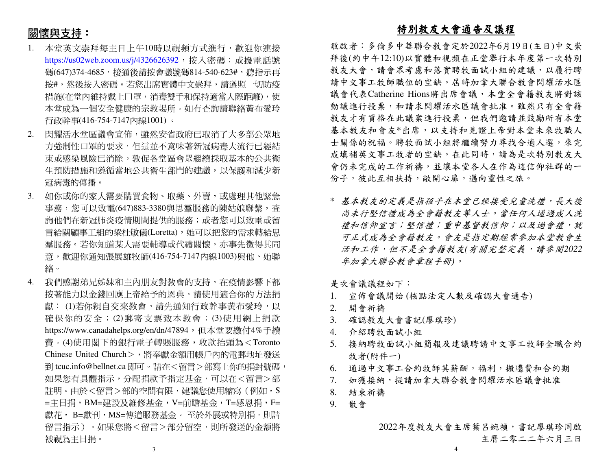# 關懷與支持:

- 1. 本堂英文崇拜每主日上午10時以視頻方式進行,歡迎你連接<u>https://us02web.zoom.us/j/4326626392</u>,按入密碼;或撥電話號 碼(647)374-4685,接通後請按會議號碼814-540-623#,聽指示再 按#,然後按入密碼。若您出席實體中文崇拜,請遵照一切防疫 措施(在堂內維持戴上口罩,消毒雙手和保持適當人際距離),使 本堂成為一個安全健康的宗教場所。如有查詢請聯絡黃布愛玲行政幹事(416-754-7147內線1001) 。
- 2. 閃耀活水堂區議會宣佈,雖然安省政府已取消了大多部公眾地方強制性口罩的要求,但這並不意味著新冠病毒大流行已經結 束或感染風險已消除。敦促各堂區會眾繼續採取基本的公共衛生預防措施和遵循當地公共衛生部門的建議,以保護和減少新 冠病毒的傳播。
- 3. 如你或你的家人需要購買食物、取藥、外賣,或處理其他緊急 事務,您可以致電(647)883-3380與思羣服務的陳姑娘聯繫,查 詢他們在新冠肺炎疫情期間提供的服務;或者您可以致電或留 言給關顧事工組的梁杜敏儀(Loretta),她可以把您的需求轉給思 羣服務。若你知道某人需要輔導或代禱關懷,亦事先徵得其同 意,歡迎你通知張展雄牧師(416-754-7147內線1003)與他、她聯 絡。
- 4. 我們感謝弟兄姊妹和主內朋友對教會的支持,在疫情影響下都 按著能力以金錢回應上帝給予的恩典。請使用適合你的方法捐獻: (1)若你親自交來教會,請先通知行政幹事黃布愛玲,以 確保你的安全; (2)郵寄支票致本教會; (3)使用網上捐款<br>https://www.conodabalae.com/ar/dz/47904,但大学要缴什4%丢绩 https://www.canadahelps.org/en/dn/47894,但本堂要繳付4%手續 費。(4)使用閣下的銀行電子轉賬服務,收款抬頭為<Toronto Chinese United Church>,將奉獻金額用帳戶內的電郵地址發送 到 tcuc.info@bellnet.ca 即可。請在<留言>部寫上你的捐封號碼, 如果您有具體指示,分配捐款予指定基金,可以在<留言>部註明。由於<留言>部的空間有限,建議您使用縮寫(例如,S =主日捐,BM=建設及維修基金,V=前瞻基金,T=感恩捐,F= 獻花, B=獻刊,MS=傳道服務基金。 至於外展或特別捐,則請<br>留言指示、 ,如思你略 <留言 > 双合留空,則能發送的合質略 留言指示 )。如果您將<留言>部分留空,則所發送的金額將 被視為主日捐。

# 特別教友大會通告及議程

 敬啟者:多倫多中華聯合教會定於2022年6月19日(主日)中文崇 拜後(約中午12:10)以實體和視頻在正堂舉行本年度第一次特別教友大會,請會眾考慮和落實聘牧面試小組的建議,以履行聘 請中文事工牧師職位的空缺。屆時加拿大聯合教會閃耀活水區議會代表Catherine Hions將出席會議,本堂全會籍教友將對該 動議進行投票,和請求閃耀活水區議會批准。雖然只有全會籍 教友才有資格在此議案進行投票,但我們邀請並鼓勵所有本堂基本教友和會友\*出席,以支持和見證上帝對本堂未來牧職人 士關係的祝福。聘牧面試小組將繼續努力尋找合適人選,來完 成填補英文事工牧者的空缺。在此同時,請為是次特別教友大 會仍未完成的工作祈禱,並讓本堂各人在作為這信仰社群的一份子,彼此互相扶持,敞開心扉,邁向靈性之旅。

\* 基本教友的定義是指孩子在本堂已經接受兒童洗禮,長大後 尚未行堅信禮成為全會籍教友等人士。當任何人通過成人洗禮和信仰宣言;堅信禮;重申基督教信仰;以及過會禮,就 可正式成為全會籍教友。會友是指定期經常參加本堂教會生 活和工作,但不是全會籍教友*(*有關完整定義,請參閱*2022*年加拿大聯合教會章程手冊*)*。

是次會議議程如下:

- 宣佈會議開始 (核點法定人數及確認大會通告) 1.
- 2. 開會祈禱
- 3. 確認教友大會書記(廖琪珍)
- 4. 介紹聘牧面試小組
- 5. 接納聘牧面試小組簡報及建議聘請中文事工牧師全職合約牧者(附件一)
- 6. 通過中文事工合約牧師其薪酬,福利,搬遷費和合約期
- . 如獲接納,提請加拿大聯合教會閃耀活水區議會批准 7.
- 8.結束祈禱
- 9.散會

2022年度教友大會主席葉呂婉禎,書記廖琪珍同啟主曆二零二二年六月三日

3

4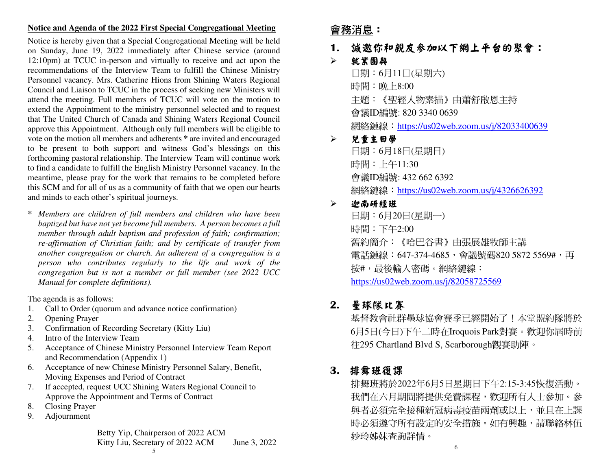### **Notice and Agenda of the 2022 First Special Congregational Meeting**

Notice is hereby given that a Special Congregational Meeting will be held on Sunday, June 19, 2022 immediately after Chinese service (around 12:10pm) at TCUC in-person and virtually to receive and act upon the recommendations of the Interview Team to fulfill the Chinese Ministry Personnel vacancy. Mrs. Catherine Hions from Shining Waters Regional Council and Liaison to TCUC in the process of seeking new Ministers will attend the meeting. Full members of TCUC will vote on the motion to extend the Appointment to the ministry personnel selected and to request that The United Church of Canada and Shining Waters Regional Council approve this Appointment. Although only full members will be eligible to vote on the motion all members and adherents **\*** are invited and encouraged to be present to both support and witness God's blessings on this forthcoming pastoral relationship. The Interview Team will continue work to find a candidate to fulfill the English Ministry Personnel vacancy. In the meantime, please pray for the work that remains to be completed before this SCM and for all of us as a community of faith that we open our hearts and minds to each other's spiritual journeys.

*\* Members are children of full members and children who have been baptized but have not yet become full members. A person becomes a full member through adult baptism and profession of faith; confirmation; re-affirmation of Christian faith; and by certificate of transfer from another congregation or church. An adherent of a congregation is a person who contributes regularly to the life and work of the congregation but is not a member or full member (see 2022 UCC Manual for complete definitions).* 

The agenda is as follows:

- 1. Call to Order (quorum and advance notice confirmation)
- 2. Opening Prayer
- 3. Confirmation of Recording Secretary (Kitty Liu)
- 4. Intro of the Interview Team
- 5. Acceptance of Chinese Ministry Personnel Interview Team Report and Recommendation (Appendix 1)
- 6. Acceptance of new Chinese Ministry Personnel Salary, Benefit, Moving Expenses and Period of Contract
- 7. If accepted, request UCC Shining Waters Regional Council to Approve the Appointment and Terms of Contract
- 8. Closing Prayer
- 9. Adjournment

 Betty Yip, Chairperson of 2022 ACM Kitty Liu, Secretary of 2022 ACM June 3, 2022 5

# 會務消息:

- **1.** 誠邀你和親友參加以下網上平台的聚會:
- $\blacktriangleright$ 就業團契

日期:6月11日(星期六) 時間:晚上8:00 主題:《聖經人物素描》由蕭舒啟恩主持會議ID編號: 820 3340 0639 網絡鏈線:https://us02web.zoom.us/j/82033400639

#### $\blacktriangleright$ 兒童主日學

日期:6月18日(星期日) 時間:上午11:30 會議ID編號: 432 662 6392 網絡鏈線: https://us02web.zoom.us/j/4326626392

#### $\blacktriangleright$ 迦南研經班

日期:6月20日(星期一) 時間:下午2:00 舊約簡介:《哈巴谷書》由張展雄牧師主講電話鏈線:647-374-4685,會議號碼820 5872 5569#,再 按#,最後輸入密碼。網絡鏈線:https://us02web.zoom.us/j/82058725569

# **2.** 壘球隊比賽

 基督教會社群壘球協會賽季已經開始了!本堂盟約隊將於 6月5日(今日)下午二時在Iroquois Park對賽。歡迎你屆時前往295 Chartland Blvd S, Scarborough觀賽助陣。

# **3.** 排舞班復課

 排舞班將於2022年6月5日星期日下午2:15-3:45恢復活動。 我們在六月期間將提供免費課程,歡迎所有人士參加。參與者必須完全接種新冠病毒疫苗兩劑或以上,並且在上課 時必須遵守所有設定的安全措施。如有興趣,請聯絡林伍 妙玲姊妹查詢詳情。